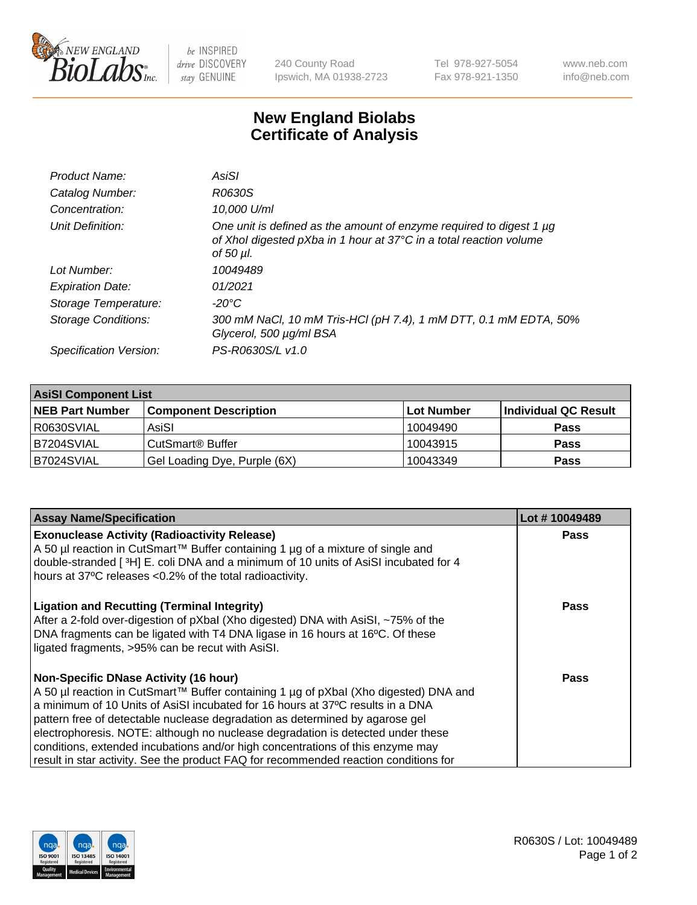

 $be$  INSPIRED drive DISCOVERY stay GENUINE

240 County Road Ipswich, MA 01938-2723 Tel 978-927-5054 Fax 978-921-1350 www.neb.com info@neb.com

## **New England Biolabs Certificate of Analysis**

| Product Name:           | AsiSI                                                                                                                                                       |
|-------------------------|-------------------------------------------------------------------------------------------------------------------------------------------------------------|
| Catalog Number:         | R0630S                                                                                                                                                      |
| Concentration:          | 10,000 U/ml                                                                                                                                                 |
| Unit Definition:        | One unit is defined as the amount of enzyme required to digest 1 µg<br>of Xhol digested pXba in 1 hour at 37°C in a total reaction volume<br>of 50 $\mu$ l. |
| Lot Number:             | 10049489                                                                                                                                                    |
| <b>Expiration Date:</b> | 01/2021                                                                                                                                                     |
| Storage Temperature:    | $-20^{\circ}$ C                                                                                                                                             |
| Storage Conditions:     | 300 mM NaCl, 10 mM Tris-HCl (pH 7.4), 1 mM DTT, 0.1 mM EDTA, 50%<br>Glycerol, 500 µg/ml BSA                                                                 |
| Specification Version:  | PS-R0630S/L v1.0                                                                                                                                            |

| <b>AsiSI Component List</b> |                              |            |                      |  |  |
|-----------------------------|------------------------------|------------|----------------------|--|--|
| <b>NEB Part Number</b>      | <b>Component Description</b> | Lot Number | Individual QC Result |  |  |
| R0630SVIAL                  | AsiSI                        | 10049490   | <b>Pass</b>          |  |  |
| IB7204SVIAL                 | CutSmart <sup>®</sup> Buffer | 10043915   | <b>Pass</b>          |  |  |
| B7024SVIAL                  | Gel Loading Dye, Purple (6X) | 10043349   | <b>Pass</b>          |  |  |

| <b>Assay Name/Specification</b>                                                                                                                                                                                               | Lot #10049489 |
|-------------------------------------------------------------------------------------------------------------------------------------------------------------------------------------------------------------------------------|---------------|
| <b>Exonuclease Activity (Radioactivity Release)</b><br>A 50 µl reaction in CutSmart™ Buffer containing 1 µg of a mixture of single and<br>double-stranded [3H] E. coli DNA and a minimum of 10 units of AsiSI incubated for 4 | <b>Pass</b>   |
| hours at 37°C releases <0.2% of the total radioactivity.                                                                                                                                                                      |               |
| <b>Ligation and Recutting (Terminal Integrity)</b><br>After a 2-fold over-digestion of pXbal (Xho digested) DNA with AsiSI, ~75% of the                                                                                       | Pass          |
| DNA fragments can be ligated with T4 DNA ligase in 16 hours at 16°C. Of these<br>ligated fragments, >95% can be recut with AsiSI.                                                                                             |               |
| <b>Non-Specific DNase Activity (16 hour)</b>                                                                                                                                                                                  | Pass          |
| A 50 µl reaction in CutSmart™ Buffer containing 1 µg of pXbal (Xho digested) DNA and                                                                                                                                          |               |
| a minimum of 10 Units of AsiSI incubated for 16 hours at 37°C results in a DNA                                                                                                                                                |               |
| pattern free of detectable nuclease degradation as determined by agarose gel                                                                                                                                                  |               |
| electrophoresis. NOTE: although no nuclease degradation is detected under these                                                                                                                                               |               |
| conditions, extended incubations and/or high concentrations of this enzyme may                                                                                                                                                |               |
| result in star activity. See the product FAQ for recommended reaction conditions for                                                                                                                                          |               |